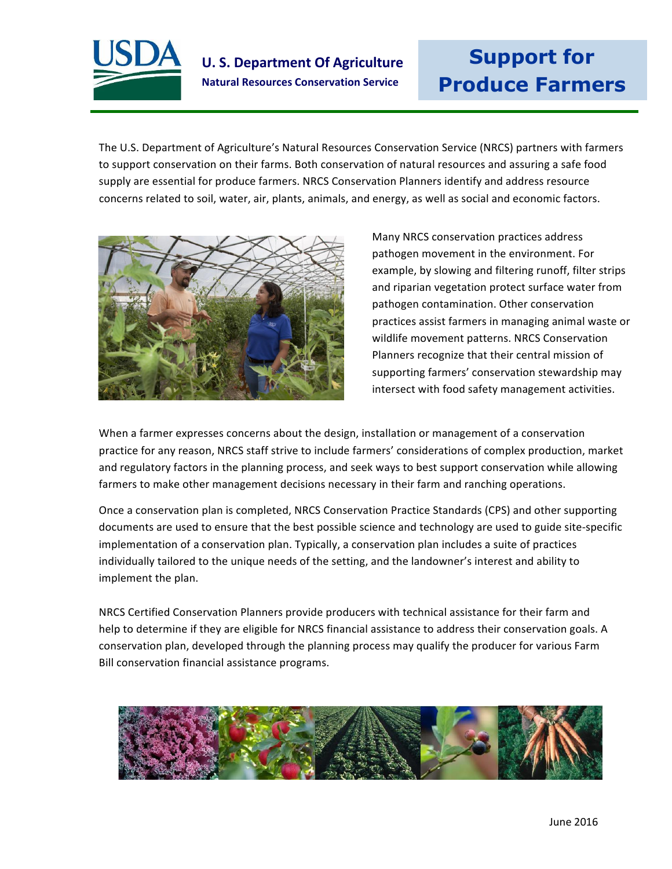

 The U.S. Department of Agriculture's Natural Resources Conservation Service (NRCS) partners with farmers to support conservation on their farms. Both conservation of natural resources and assuring a safe food supply are essential for produce farmers. NRCS Conservation Planners identify and address resource concerns related to soil, water, air, plants, animals, and energy, as well as social and economic factors.



 Many NRCS conservation practices address pathogen movement in the environment. For example, by slowing and filtering runoff, filter strips and riparian vegetation protect surface water from practices assist farmers in managing animal waste or wildlife movement patterns. NRCS Conservation Planners recognize that their central mission of intersect with food safety management activities. pathogen contamination. Other conservation supporting farmers' conservation stewardship may

 When a farmer expresses concerns about the design, installation or management of a conservation practice for any reason, NRCS staff strive to include farmers' considerations of complex production, market and regulatory factors in the planning process, and seek ways to best support conservation while allowing farmers to make other management decisions necessary in their farm and ranching operations.

Once a conservation plan is completed, NRCS Conservation Practice Standards (CPS) and other supporting documents are used to ensure that the best possible science and technology are used to guide site-specific implementation of a conservation plan. Typically, a conservation plan includes a suite of practices individually tailored to the unique needs of the setting, and the landowner's interest and ability to implement the plan.

help to determine if they are eligible for NRCS financial assistance to address their conservation goals. A conservation plan, developed through the planning process may qualify the producer for various Farm NRCS Certified Conservation Planners provide producers with technical assistance for their farm and Bill conservation financial assistance programs.